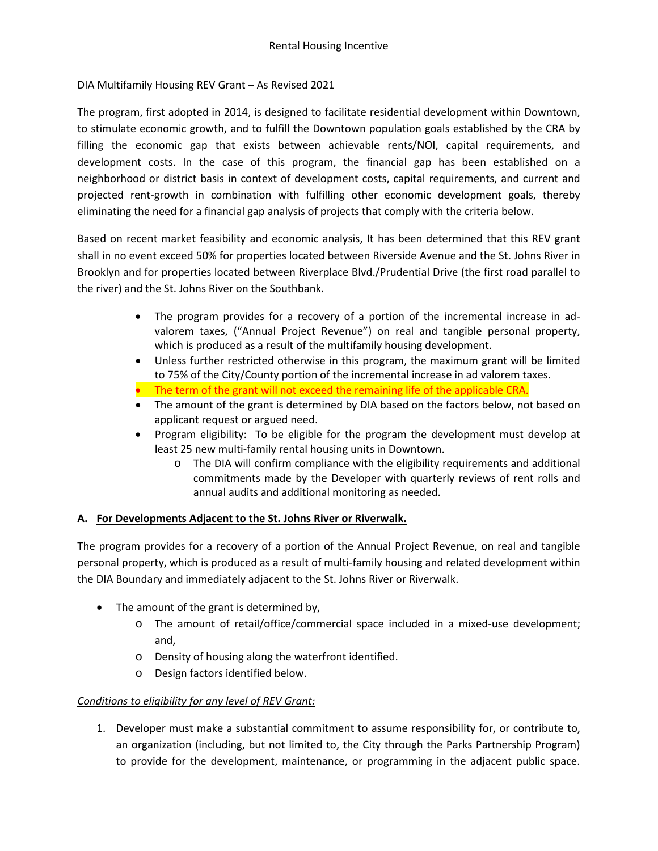### DIA Multifamily Housing REV Grant – As Revised 2021

The program, first adopted in 2014, is designed to facilitate residential development within Downtown, to stimulate economic growth, and to fulfill the Downtown population goals established by the CRA by filling the economic gap that exists between achievable rents/NOI, capital requirements, and development costs. In the case of this program, the financial gap has been established on a neighborhood or district basis in context of development costs, capital requirements, and current and projected rent-growth in combination with fulfilling other economic development goals, thereby eliminating the need for a financial gap analysis of projects that comply with the criteria below.

Based on recent market feasibility and economic analysis, It has been determined that this REV grant shall in no event exceed 50% for properties located between Riverside Avenue and the St. Johns River in Brooklyn and for properties located between Riverplace Blvd./Prudential Drive (the first road parallel to the river) and the St. Johns River on the Southbank.

- The program provides for a recovery of a portion of the incremental increase in advalorem taxes, ("Annual Project Revenue") on real and tangible personal property, which is produced as a result of the multifamily housing development.
- Unless further restricted otherwise in this program, the maximum grant will be limited to 75% of the City/County portion of the incremental increase in ad valorem taxes.
- The term of the grant will not exceed the remaining life of the applicable CRA.
- The amount of the grant is determined by DIA based on the factors below, not based on applicant request or argued need.
- Program eligibility: To be eligible for the program the development must develop at least 25 new multi-family rental housing units in Downtown.
	- o The DIA will confirm compliance with the eligibility requirements and additional commitments made by the Developer with quarterly reviews of rent rolls and annual audits and additional monitoring as needed.

### **A. For Developments Adjacent to the St. Johns River or Riverwalk.**

The program provides for a recovery of a portion of the Annual Project Revenue, on real and tangible personal property, which is produced as a result of multi-family housing and related development within the DIA Boundary and immediately adjacent to the St. Johns River or Riverwalk.

- The amount of the grant is determined by,
	- o The amount of retail/office/commercial space included in a mixed-use development; and,
	- o Density of housing along the waterfront identified.
	- o Design factors identified below.

### *Conditions to eligibility for any level of REV Grant:*

1. Developer must make a substantial commitment to assume responsibility for, or contribute to, an organization (including, but not limited to, the City through the Parks Partnership Program) to provide for the development, maintenance, or programming in the adjacent public space.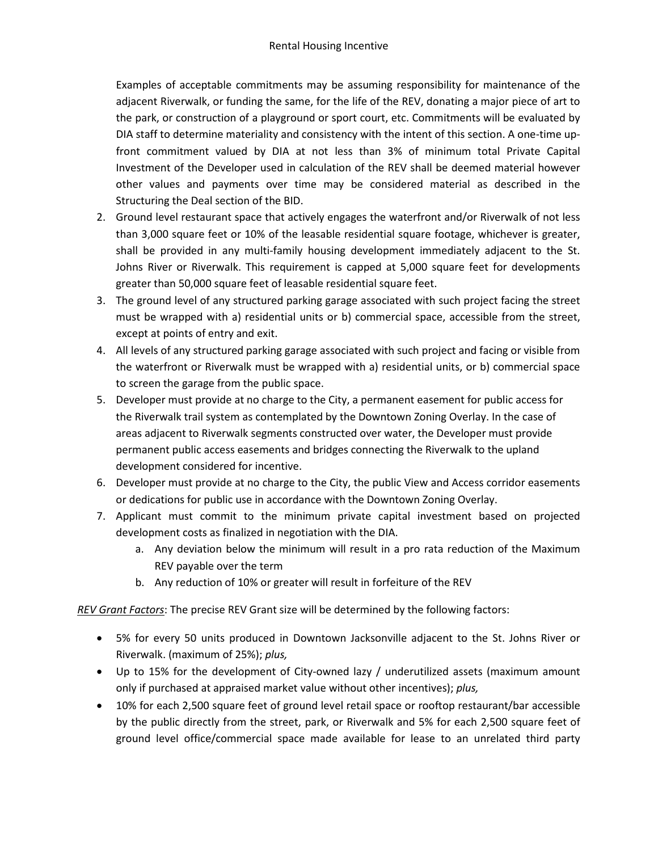Examples of acceptable commitments may be assuming responsibility for maintenance of the adjacent Riverwalk, or funding the same, for the life of the REV, donating a major piece of art to the park, or construction of a playground or sport court, etc. Commitments will be evaluated by DIA staff to determine materiality and consistency with the intent of this section. A one-time upfront commitment valued by DIA at not less than 3% of minimum total Private Capital Investment of the Developer used in calculation of the REV shall be deemed material however other values and payments over time may be considered material as described in the Structuring the Deal section of the BID.

- 2. Ground level restaurant space that actively engages the waterfront and/or Riverwalk of not less than 3,000 square feet or 10% of the leasable residential square footage, whichever is greater, shall be provided in any multi-family housing development immediately adjacent to the St. Johns River or Riverwalk. This requirement is capped at 5,000 square feet for developments greater than 50,000 square feet of leasable residential square feet.
- 3. The ground level of any structured parking garage associated with such project facing the street must be wrapped with a) residential units or b) commercial space, accessible from the street, except at points of entry and exit.
- 4. All levels of any structured parking garage associated with such project and facing or visible from the waterfront or Riverwalk must be wrapped with a) residential units, or b) commercial space to screen the garage from the public space.
- 5. Developer must provide at no charge to the City, a permanent easement for public access for the Riverwalk trail system as contemplated by the Downtown Zoning Overlay. In the case of areas adjacent to Riverwalk segments constructed over water, the Developer must provide permanent public access easements and bridges connecting the Riverwalk to the upland development considered for incentive.
- 6. Developer must provide at no charge to the City, the public View and Access corridor easements or dedications for public use in accordance with the Downtown Zoning Overlay.
- 7. Applicant must commit to the minimum private capital investment based on projected development costs as finalized in negotiation with the DIA.
	- a. Any deviation below the minimum will result in a pro rata reduction of the Maximum REV payable over the term
	- b. Any reduction of 10% or greater will result in forfeiture of the REV

*REV Grant Factors*: The precise REV Grant size will be determined by the following factors:

- 5% for every 50 units produced in Downtown Jacksonville adjacent to the St. Johns River or Riverwalk. (maximum of 25%); *plus,*
- Up to 15% for the development of City-owned lazy / underutilized assets (maximum amount only if purchased at appraised market value without other incentives); *plus,*
- 10% for each 2,500 square feet of ground level retail space or rooftop restaurant/bar accessible by the public directly from the street, park, or Riverwalk and 5% for each 2,500 square feet of ground level office/commercial space made available for lease to an unrelated third party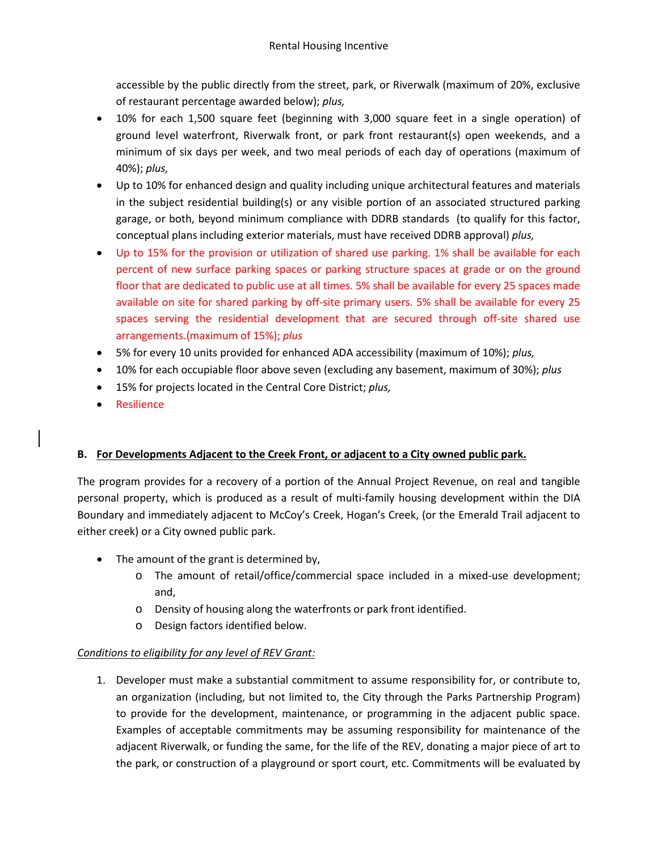accessible by the public directly from the street, park, or Riverwalk (maximum of 20%, exclusive of restaurant percentage awarded below); *plus,*

- 10% for each 1,500 square feet (beginning with 3,000 square feet in a single operation) of ground level waterfront, Riverwalk front, or park front restaurant(s) open weekends, and a minimum of six days per week, and two meal periods of each day of operations (maximum of 40%); *plus,*
- Up to 10% for enhanced design and quality including unique architectural features and materials in the subject residential building(s) or any visible portion of an associated structured parking garage, or both, beyond minimum compliance with DDRB standards (to qualify for this factor, conceptual plans including exterior materials, must have received DDRB approval) *plus,*
- Up to 15% for the provision or utilization of shared use parking. 1% shall be available for each percent of new surface parking spaces or parking structure spaces at grade or on the ground floor that are dedicated to public use at all times. 5% shall be available for every 25 spaces made available on site for shared parking by off-site primary users. 5% shall be available for every 25 spaces serving the residential development that are secured through off-site shared use arrangements.(maximum of 15%); *plus*
- 5% for every 10 units provided for enhanced ADA accessibility (maximum of 10%); *plus,*
- 10% for each occupiable floor above seven (excluding any basement, maximum of 30%); *plus*
- 15% for projects located in the Central Core District; *plus,*
- Resilience

# **B. For Developments Adjacent to the Creek Front, or adjacent to a City owned public park.**

The program provides for a recovery of a portion of the Annual Project Revenue, on real and tangible personal property, which is produced as a result of multi-family housing development within the DIA Boundary and immediately adjacent to McCoy's Creek, Hogan's Creek, (or the Emerald Trail adjacent to either creek) or a City owned public park.

- The amount of the grant is determined by,
	- o The amount of retail/office/commercial space included in a mixed-use development; and,
	- o Density of housing along the waterfronts or park front identified.
	- o Design factors identified below.

# *Conditions to eligibility for any level of REV Grant:*

1. Developer must make a substantial commitment to assume responsibility for, or contribute to, an organization (including, but not limited to, the City through the Parks Partnership Program) to provide for the development, maintenance, or programming in the adjacent public space. Examples of acceptable commitments may be assuming responsibility for maintenance of the adjacent Riverwalk, or funding the same, for the life of the REV, donating a major piece of art to the park, or construction of a playground or sport court, etc. Commitments will be evaluated by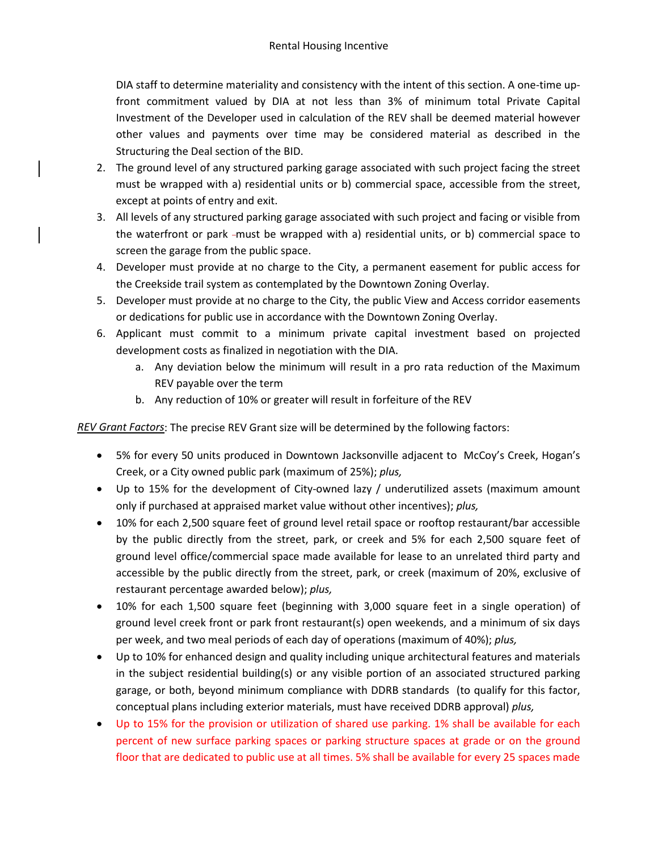DIA staff to determine materiality and consistency with the intent of this section. A one-time upfront commitment valued by DIA at not less than 3% of minimum total Private Capital Investment of the Developer used in calculation of the REV shall be deemed material however other values and payments over time may be considered material as described in the Structuring the Deal section of the BID.

- 2. The ground level of any structured parking garage associated with such project facing the street must be wrapped with a) residential units or b) commercial space, accessible from the street, except at points of entry and exit.
- 3. All levels of any structured parking garage associated with such project and facing or visible from the waterfront or park -must be wrapped with a) residential units, or b) commercial space to screen the garage from the public space.
- 4. Developer must provide at no charge to the City, a permanent easement for public access for the Creekside trail system as contemplated by the Downtown Zoning Overlay.
- 5. Developer must provide at no charge to the City, the public View and Access corridor easements or dedications for public use in accordance with the Downtown Zoning Overlay.
- 6. Applicant must commit to a minimum private capital investment based on projected development costs as finalized in negotiation with the DIA.
	- a. Any deviation below the minimum will result in a pro rata reduction of the Maximum REV payable over the term
	- b. Any reduction of 10% or greater will result in forfeiture of the REV

*REV Grant Factors*: The precise REV Grant size will be determined by the following factors:

- 5% for every 50 units produced in Downtown Jacksonville adjacent to McCoy's Creek, Hogan's Creek, or a City owned public park (maximum of 25%); *plus,*
- Up to 15% for the development of City-owned lazy / underutilized assets (maximum amount only if purchased at appraised market value without other incentives); *plus,*
- 10% for each 2,500 square feet of ground level retail space or rooftop restaurant/bar accessible by the public directly from the street, park, or creek and 5% for each 2,500 square feet of ground level office/commercial space made available for lease to an unrelated third party and accessible by the public directly from the street, park, or creek (maximum of 20%, exclusive of restaurant percentage awarded below); *plus,*
- 10% for each 1,500 square feet (beginning with 3,000 square feet in a single operation) of ground level creek front or park front restaurant(s) open weekends, and a minimum of six days per week, and two meal periods of each day of operations (maximum of 40%); *plus,*
- Up to 10% for enhanced design and quality including unique architectural features and materials in the subject residential building(s) or any visible portion of an associated structured parking garage, or both, beyond minimum compliance with DDRB standards (to qualify for this factor, conceptual plans including exterior materials, must have received DDRB approval) *plus,*
- Up to 15% for the provision or utilization of shared use parking. 1% shall be available for each percent of new surface parking spaces or parking structure spaces at grade or on the ground floor that are dedicated to public use at all times. 5% shall be available for every 25 spaces made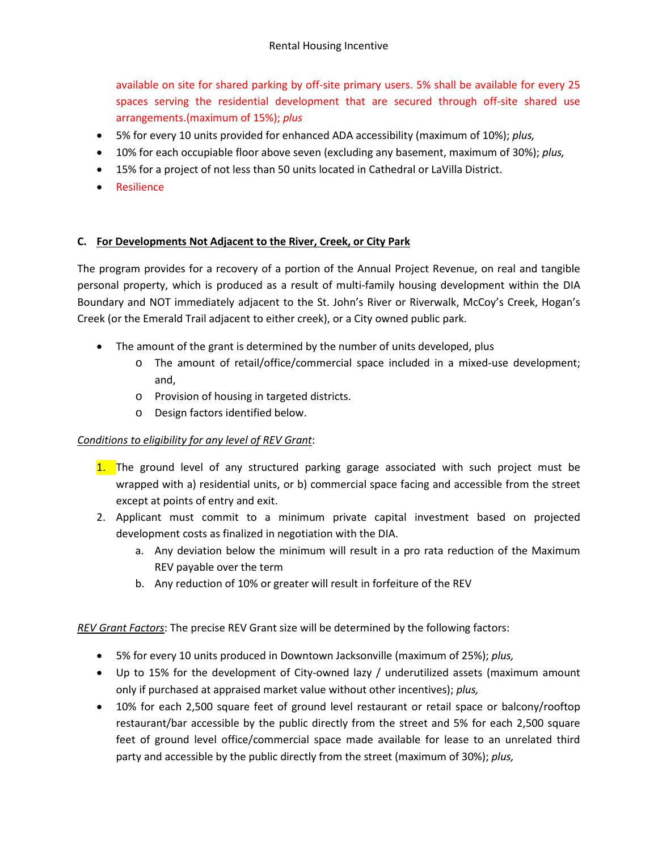available on site for shared parking by off-site primary users. 5% shall be available for every 25 spaces serving the residential development that are secured through off-site shared use arrangements.(maximum of 15%); *plus*

- 5% for every 10 units provided for enhanced ADA accessibility (maximum of 10%); *plus,*
- 10% for each occupiable floor above seven (excluding any basement, maximum of 30%); *plus,*
- 15% for a project of not less than 50 units located in Cathedral or LaVilla District.
- Resilience

### **C. For Developments Not Adjacent to the River, Creek, or City Park**

The program provides for a recovery of a portion of the Annual Project Revenue, on real and tangible personal property, which is produced as a result of multi-family housing development within the DIA Boundary and NOT immediately adjacent to the St. John's River or Riverwalk, McCoy's Creek, Hogan's Creek (or the Emerald Trail adjacent to either creek), or a City owned public park.

- The amount of the grant is determined by the number of units developed, plus
	- o The amount of retail/office/commercial space included in a mixed-use development; and,
	- o Provision of housing in targeted districts.
	- o Design factors identified below.

### *Conditions to eligibility for any level of REV Grant*:

- 1. The ground level of any structured parking garage associated with such project must be wrapped with a) residential units, or b) commercial space facing and accessible from the street except at points of entry and exit.
- 2. Applicant must commit to a minimum private capital investment based on projected development costs as finalized in negotiation with the DIA.
	- a. Any deviation below the minimum will result in a pro rata reduction of the Maximum REV payable over the term
	- b. Any reduction of 10% or greater will result in forfeiture of the REV

*REV Grant Factors*: The precise REV Grant size will be determined by the following factors:

- 5% for every 10 units produced in Downtown Jacksonville (maximum of 25%); *plus,*
- Up to 15% for the development of City-owned lazy / underutilized assets (maximum amount only if purchased at appraised market value without other incentives); *plus,*
- 10% for each 2,500 square feet of ground level restaurant or retail space or balcony/rooftop restaurant/bar accessible by the public directly from the street and 5% for each 2,500 square feet of ground level office/commercial space made available for lease to an unrelated third party and accessible by the public directly from the street (maximum of 30%); *plus,*